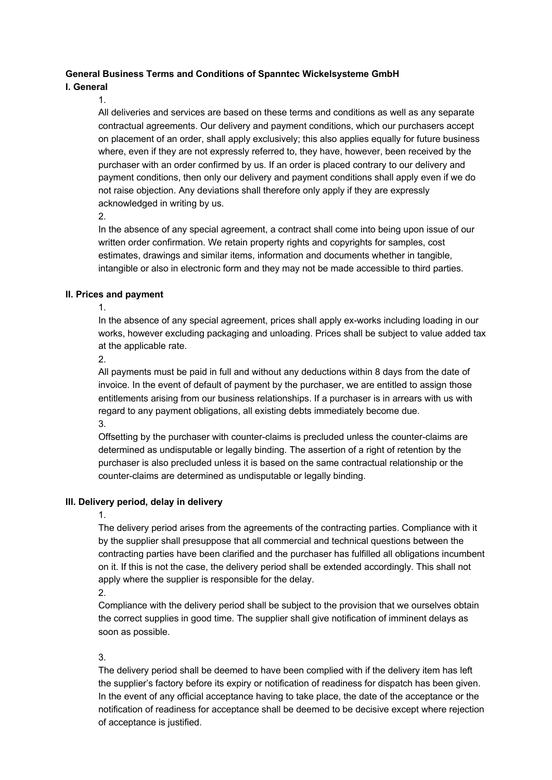## **General Business Terms and Conditions of Spanntec Wickelsysteme GmbH**

## **I. General**

1.

All deliveries and services are based on these terms and conditions as well as any separate contractual agreements. Our delivery and payment conditions, which our purchasers accept on placement of an order, shall apply exclusively; this also applies equally for future business where, even if they are not expressly referred to, they have, however, been received by the purchaser with an order confirmed by us. If an order is placed contrary to our delivery and payment conditions, then only our delivery and payment conditions shall apply even if we do not raise objection. Any deviations shall therefore only apply if they are expressly acknowledged in writing by us.

2.

In the absence of any special agreement, a contract shall come into being upon issue of our written order confirmation. We retain property rights and copyrights for samples, cost estimates, drawings and similar items, information and documents whether in tangible, intangible or also in electronic form and they may not be made accessible to third parties.

## **II. Prices and payment**

1.

In the absence of any special agreement, prices shall apply ex-works including loading in our works, however excluding packaging and unloading. Prices shall be subject to value added tax at the applicable rate.

2.

All payments must be paid in full and without any deductions within 8 days from the date of invoice. In the event of default of payment by the purchaser, we are entitled to assign those entitlements arising from our business relationships. If a purchaser is in arrears with us with regard to any payment obligations, all existing debts immediately become due. 3.

Offsetting by the purchaser with counter-claims is precluded unless the counter-claims are determined as undisputable or legally binding. The assertion of a right of retention by the purchaser is also precluded unless it is based on the same contractual relationship or the counter-claims are determined as undisputable or legally binding.

# **III. Delivery period, delay in delivery**

## 1.

The delivery period arises from the agreements of the contracting parties. Compliance with it by the supplier shall presuppose that all commercial and technical questions between the contracting parties have been clarified and the purchaser has fulfilled all obligations incumbent on it. If this is not the case, the delivery period shall be extended accordingly. This shall not apply where the supplier is responsible for the delay.

2.

Compliance with the delivery period shall be subject to the provision that we ourselves obtain the correct supplies in good time. The supplier shall give notification of imminent delays as soon as possible.

## 3.

The delivery period shall be deemed to have been complied with if the delivery item has left the supplier's factory before its expiry or notification of readiness for dispatch has been given. In the event of any official acceptance having to take place, the date of the acceptance or the notification of readiness for acceptance shall be deemed to be decisive except where rejection of acceptance is justified.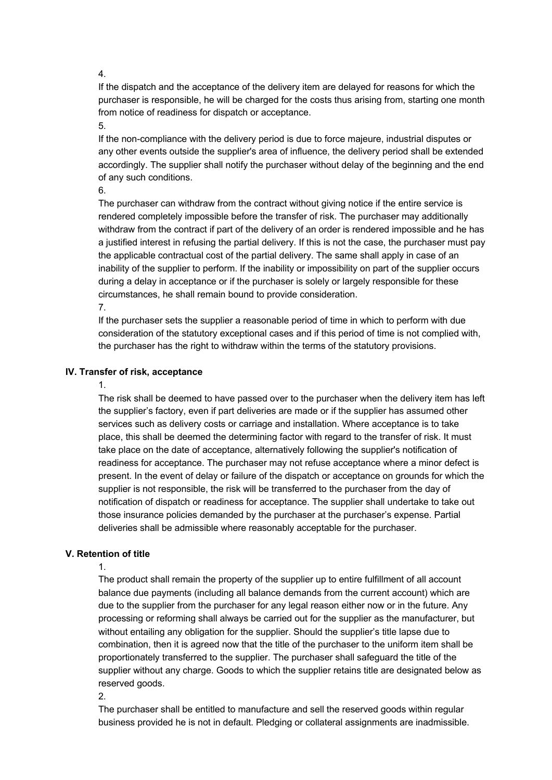4.

If the dispatch and the acceptance of the delivery item are delayed for reasons for which the purchaser is responsible, he will be charged for the costs thus arising from, starting one month from notice of readiness for dispatch or acceptance.

5.

If the non-compliance with the delivery period is due to force majeure, industrial disputes or any other events outside the supplier's area of influence, the delivery period shall be extended accordingly. The supplier shall notify the purchaser without delay of the beginning and the end of any such conditions.

6.

The purchaser can withdraw from the contract without giving notice if the entire service is rendered completely impossible before the transfer of risk. The purchaser may additionally withdraw from the contract if part of the delivery of an order is rendered impossible and he has a justified interest in refusing the partial delivery. If this is not the case, the purchaser must pay the applicable contractual cost of the partial delivery. The same shall apply in case of an inability of the supplier to perform. If the inability or impossibility on part of the supplier occurs during a delay in acceptance or if the purchaser is solely or largely responsible for these circumstances, he shall remain bound to provide consideration.

7.

If the purchaser sets the supplier a reasonable period of time in which to perform with due consideration of the statutory exceptional cases and if this period of time is not complied with, the purchaser has the right to withdraw within the terms of the statutory provisions.

# **IV. Transfer of risk, acceptance**

#### 1.

The risk shall be deemed to have passed over to the purchaser when the delivery item has left the supplier's factory, even if part deliveries are made or if the supplier has assumed other services such as delivery costs or carriage and installation. Where acceptance is to take place, this shall be deemed the determining factor with regard to the transfer of risk. It must take place on the date of acceptance, alternatively following the supplier's notification of readiness for acceptance. The purchaser may not refuse acceptance where a minor defect is present. In the event of delay or failure of the dispatch or acceptance on grounds for which the supplier is not responsible, the risk will be transferred to the purchaser from the day of notification of dispatch or readiness for acceptance. The supplier shall undertake to take out those insurance policies demanded by the purchaser at the purchaser's expense. Partial deliveries shall be admissible where reasonably acceptable for the purchaser.

# **V. Retention of title**

1.

The product shall remain the property of the supplier up to entire fulfillment of all account balance due payments (including all balance demands from the current account) which are due to the supplier from the purchaser for any legal reason either now or in the future. Any processing or reforming shall always be carried out for the supplier as the manufacturer, but without entailing any obligation for the supplier. Should the supplier's title lapse due to combination, then it is agreed now that the title of the purchaser to the uniform item shall be proportionately transferred to the supplier. The purchaser shall safeguard the title of the supplier without any charge. Goods to which the supplier retains title are designated below as reserved goods.

2.

The purchaser shall be entitled to manufacture and sell the reserved goods within regular business provided he is not in default. Pledging or collateral assignments are inadmissible.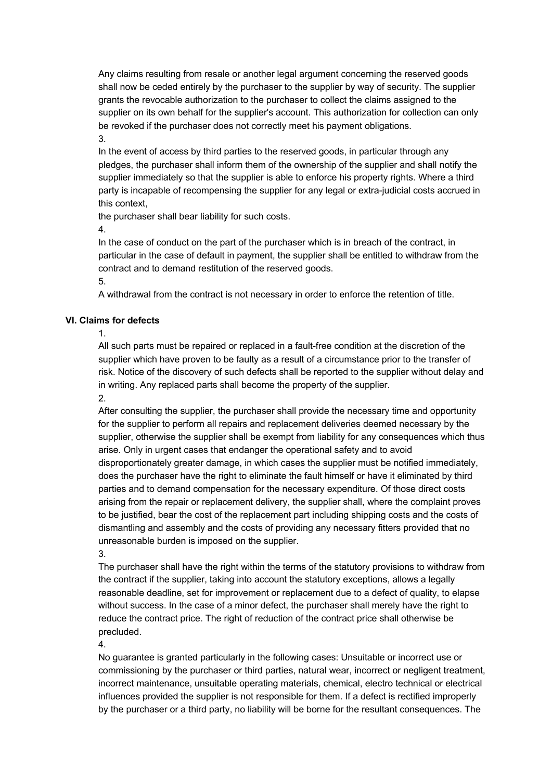Any claims resulting from resale or another legal argument concerning the reserved goods shall now be ceded entirely by the purchaser to the supplier by way of security. The supplier grants the revocable authorization to the purchaser to collect the claims assigned to the supplier on its own behalf for the supplier's account. This authorization for collection can only be revoked if the purchaser does not correctly meet his payment obligations.

3.

In the event of access by third parties to the reserved goods, in particular through any pledges, the purchaser shall inform them of the ownership of the supplier and shall notify the supplier immediately so that the supplier is able to enforce his property rights. Where a third party is incapable of recompensing the supplier for any legal or extra-judicial costs accrued in this context,

the purchaser shall bear liability for such costs.

4.

In the case of conduct on the part of the purchaser which is in breach of the contract, in particular in the case of default in payment, the supplier shall be entitled to withdraw from the contract and to demand restitution of the reserved goods.

5.

A withdrawal from the contract is not necessary in order to enforce the retention of title.

# **VI. Claims for defects**

1.

All such parts must be repaired or replaced in a fault-free condition at the discretion of the supplier which have proven to be faulty as a result of a circumstance prior to the transfer of risk. Notice of the discovery of such defects shall be reported to the supplier without delay and in writing. Any replaced parts shall become the property of the supplier. 2.

After consulting the supplier, the purchaser shall provide the necessary time and opportunity for the supplier to perform all repairs and replacement deliveries deemed necessary by the supplier, otherwise the supplier shall be exempt from liability for any consequences which thus arise. Only in urgent cases that endanger the operational safety and to avoid disproportionately greater damage, in which cases the supplier must be notified immediately, does the purchaser have the right to eliminate the fault himself or have it eliminated by third parties and to demand compensation for the necessary expenditure. Of those direct costs arising from the repair or replacement delivery, the supplier shall, where the complaint proves to be justified, bear the cost of the replacement part including shipping costs and the costs of dismantling and assembly and the costs of providing any necessary fitters provided that no unreasonable burden is imposed on the supplier.

3.

The purchaser shall have the right within the terms of the statutory provisions to withdraw from the contract if the supplier, taking into account the statutory exceptions, allows a legally reasonable deadline, set for improvement or replacement due to a defect of quality, to elapse without success. In the case of a minor defect, the purchaser shall merely have the right to reduce the contract price. The right of reduction of the contract price shall otherwise be precluded.

4.

No guarantee is granted particularly in the following cases: Unsuitable or incorrect use or commissioning by the purchaser or third parties, natural wear, incorrect or negligent treatment, incorrect maintenance, unsuitable operating materials, chemical, electro technical or electrical influences provided the supplier is not responsible for them. If a defect is rectified improperly by the purchaser or a third party, no liability will be borne for the resultant consequences. The